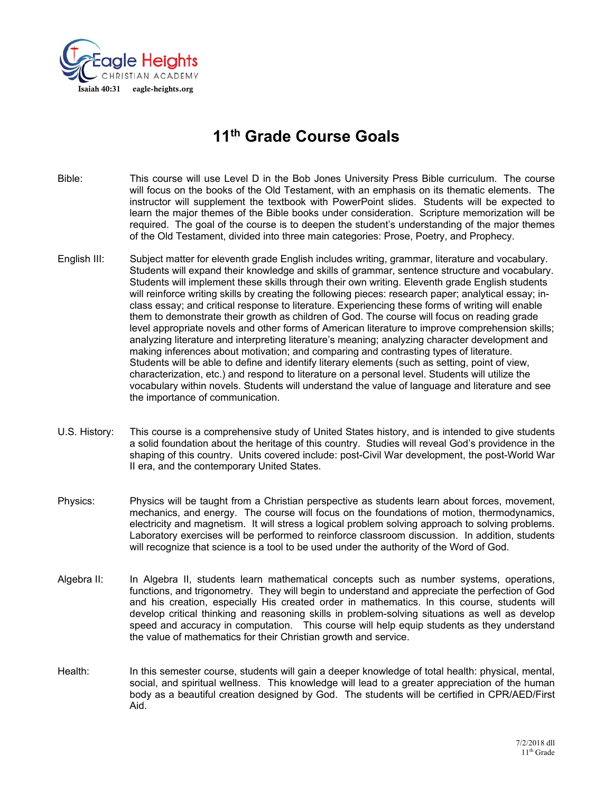

# **11th Grade Course Goals**

Bible: This course will use Level D in the Bob Jones University Press Bible curriculum. The course will focus on the books of the Old Testament, with an emphasis on its thematic elements. The instructor will supplement the textbook with PowerPoint slides. Students will be expected to learn the major themes of the Bible books under consideration. Scripture memorization will be required. The goal of the course is to deepen the student's understanding of the major themes of the Old Testament, divided into three main categories: Prose, Poetry, and Prophecy.

- English III: Subject matter for eleventh grade English includes writing, grammar, literature and vocabulary. Students will expand their knowledge and skills of grammar, sentence structure and vocabulary. Students will implement these skills through their own writing. Eleventh grade English students will reinforce writing skills by creating the following pieces: research paper; analytical essay; inclass essay; and critical response to literature. Experiencing these forms of writing will enable them to demonstrate their growth as children of God. The course will focus on reading grade level appropriate novels and other forms of American literature to improve comprehension skills; analyzing literature and interpreting literature's meaning; analyzing character development and making inferences about motivation; and comparing and contrasting types of literature. Students will be able to define and identify literary elements (such as setting, point of view, characterization, etc.) and respond to literature on a personal level. Students will utilize the vocabulary within novels. Students will understand the value of language and literature and see the importance of communication.
- U.S. History: This course is a comprehensive study of United States history, and is intended to give students a solid foundation about the heritage of this country. Studies will reveal God's providence in the shaping of this country. Units covered include: post-Civil War development, the post-World War II era, and the contemporary United States.
- Physics: Physics will be taught from a Christian perspective as students learn about forces, movement, mechanics, and energy. The course will focus on the foundations of motion, thermodynamics, electricity and magnetism. It will stress a logical problem solving approach to solving problems. Laboratory exercises will be performed to reinforce classroom discussion. In addition, students will recognize that science is a tool to be used under the authority of the Word of God.
- Algebra II: In Algebra II, students learn mathematical concepts such as number systems, operations, functions, and trigonometry. They will begin to understand and appreciate the perfection of God and his creation, especially His created order in mathematics. In this course, students will develop critical thinking and reasoning skills in problem-solving situations as well as develop speed and accuracy in computation. This course will help equip students as they understand the value of mathematics for their Christian growth and service.
- Health: In this semester course, students will gain a deeper knowledge of total health: physical, mental, social, and spiritual wellness. This knowledge will lead to a greater appreciation of the human body as a beautiful creation designed by God. The students will be certified in CPR/AED/First Aid.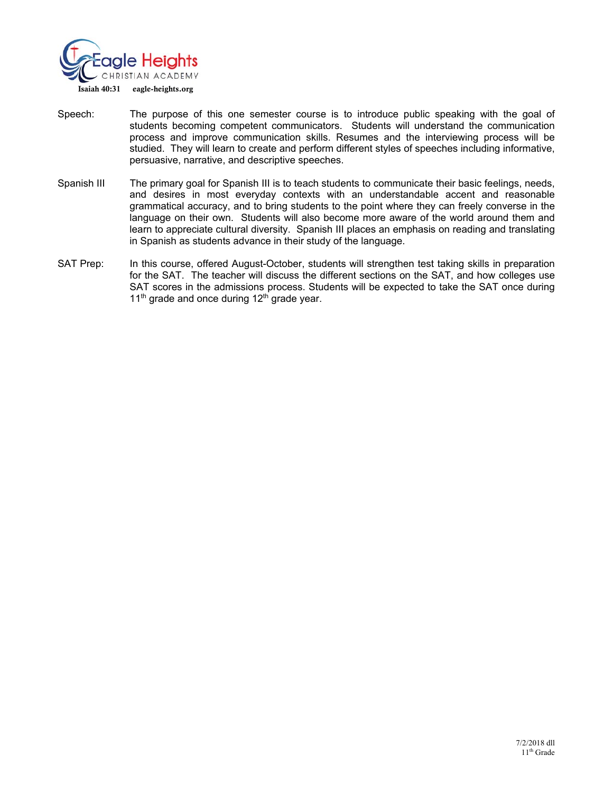

- Speech: The purpose of this one semester course is to introduce public speaking with the goal of students becoming competent communicators. Students will understand the communication process and improve communication skills. Resumes and the interviewing process will be studied. They will learn to create and perform different styles of speeches including informative, persuasive, narrative, and descriptive speeches.
- Spanish III The primary goal for Spanish III is to teach students to communicate their basic feelings, needs, and desires in most everyday contexts with an understandable accent and reasonable grammatical accuracy, and to bring students to the point where they can freely converse in the language on their own. Students will also become more aware of the world around them and learn to appreciate cultural diversity. Spanish III places an emphasis on reading and translating in Spanish as students advance in their study of the language.
- SAT Prep: In this course, offered August-October, students will strengthen test taking skills in preparation for the SAT. The teacher will discuss the different sections on the SAT, and how colleges use SAT scores in the admissions process. Students will be expected to take the SAT once during  $11<sup>th</sup>$  grade and once during  $12<sup>th</sup>$  grade year.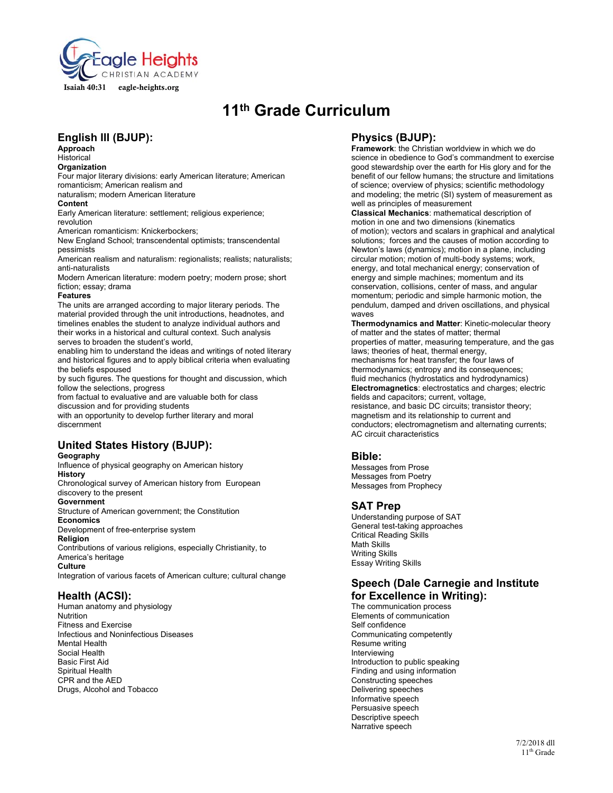

# **11th Grade Curriculum**

# **English III (BJUP):**

**Approach** 

#### Historical **Organization**

Four major literary divisions: early American literature; American romanticism; American realism and

naturalism; modern American literature

#### **Content**

Early American literature: settlement; religious experience; revolution

American romanticism: Knickerbockers;

New England School; transcendental optimists; transcendental pessimists

American realism and naturalism: regionalists; realists; naturalists; anti-naturalists

Modern American literature: modern poetry; modern prose; short fiction; essay; drama

#### **Features**

The units are arranged according to major literary periods. The material provided through the unit introductions, headnotes, and timelines enables the student to analyze individual authors and their works in a historical and cultural context. Such analysis serves to broaden the student's world,

enabling him to understand the ideas and writings of noted literary and historical figures and to apply biblical criteria when evaluating the beliefs espoused

by such figures. The questions for thought and discussion, which follow the selections, progress

from factual to evaluative and are valuable both for class discussion and for providing students

with an opportunity to develop further literary and moral discernment

# **United States History (BJUP):**

#### **Geography**

Influence of physical geography on American history **History** 

Chronological survey of American history from European discovery to the present

### **Government**

Structure of American government; the Constitution **Economics** 

Development of free-enterprise system

### **Religion**

Contributions of various religions, especially Christianity, to America's heritage

**Culture** 

Integration of various facets of American culture; cultural change

# **Health (ACSI):**

Human anatomy and physiology Nutrition Fitness and Exercise Infectious and Noninfectious Diseases Mental Health Social Health Basic First Aid Spiritual Health CPR and the AED Drugs, Alcohol and Tobacco

# **Physics (BJUP):**

**Framework**: the Christian worldview in which we do science in obedience to God's commandment to exercise good stewardship over the earth for His glory and for the benefit of our fellow humans; the structure and limitations of science; overview of physics; scientific methodology and modeling; the metric (SI) system of measurement as well as principles of measurement

**Classical Mechanics**: mathematical description of motion in one and two dimensions (kinematics of motion); vectors and scalars in graphical and analytical solutions; forces and the causes of motion according to Newton's laws (dynamics); motion in a plane, including circular motion; motion of multi-body systems; work, energy, and total mechanical energy; conservation of energy and simple machines; momentum and its conservation, collisions, center of mass, and angular momentum; periodic and simple harmonic motion, the pendulum, damped and driven oscillations, and physical waves

**Thermodynamics and Matter**: Kinetic-molecular theory of matter and the states of matter; thermal properties of matter, measuring temperature, and the gas laws; theories of heat, thermal energy, mechanisms for heat transfer; the four laws of thermodynamics; entropy and its consequences; fluid mechanics (hydrostatics and hydrodynamics) **Electromagnetics**: electrostatics and charges; electric fields and capacitors; current, voltage, resistance, and basic DC circuits; transistor theory; magnetism and its relationship to current and conductors; electromagnetism and alternating currents; AC circuit characteristics

# **Bible:**

Messages from Prose Messages from Poetry Messages from Prophecy

# **SAT Prep**

Understanding purpose of SAT General test-taking approaches Critical Reading Skills Math Skills Writing Skills Essay Writing Skills

# **Speech (Dale Carnegie and Institute for Excellence in Writing):**

The communication process Elements of communication Self confidence Communicating competently Resume writing Interviewing Introduction to public speaking Finding and using information Constructing speeches Delivering speeches Informative speech Persuasive speech Descriptive speech Narrative speech